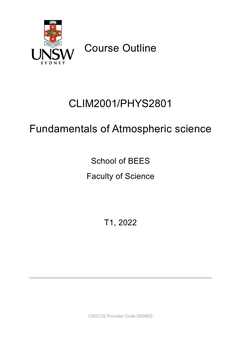

Course Outline

# CLIM2001/PHYS2801

# Fundamentals of Atmospheric science

School of BEES

Faculty of Science

T1, 2022

CRICOS Provider Code 00098G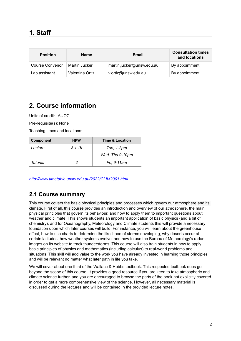| <b>Position</b> | <b>Name</b>     | Email                     | <b>Consultation times</b><br>and locations |
|-----------------|-----------------|---------------------------|--------------------------------------------|
| Course Convenor | Martin Jucker   | martin.jucker@unsw.edu.au | By appointment                             |
| Lab assistant   | Valentina Ortiz | v.ortiz@unsw.edu.au       | By appointment                             |

# **2. Course information**

Units of credit: 6UOC

Pre-requisite(s): None

Teaching times and locations:

| <b>Component</b> | <b>HPW</b> | <b>Time &amp; Location</b> |
|------------------|------------|----------------------------|
| Lecture          | 3 x 1 h    | Tue, 1-2pm                 |
|                  |            | Wed, Thu 9-10pm            |
| Tutorial         |            | Fri, 9-11 am               |

*[http://www.timetable.unsw.edu.au](http://timetable.unsw.edu.au/2020/CLIM2001.html)/2022/CLIM2001.html*

### **2.1 Course summary**

This course covers the basic physical principles and processes which govern our atmosphere and its climate. First of all, this course provides an introduction and overview of our atmosphere, the main physical principles that govern its behaviour, and how to apply them to important questions about weather and climate. This shows students an important application of basic physics (and a bit of chemistry), and for Oceanography, Meteorology and Climate students this will provide a necessary foundation upon which later courses will build. For instance, you will learn about the greenhouse effect, how to use charts to determine the likelihood of storms developing, why deserts occur at certain latitudes, how weather systems evolve, and how to use the Bureau of Meteorology's radar images on its website to track thunderstorms. This course will also train students in how to apply basic principles of physics and mathematics (including calculus) to real-world problems and situations. This skill will add value to the work you have already invested in learning those principles and will be relevant no matter what later path in life you take.

We will cover about one third of the Wallace & Hobbs textbook. This respected textbook does go beyond the scope of this course. It provides a good resource if you are keen to take atmospheric and climate science further, and you are encouraged to browse the parts of the book not explicitly covered in order to get a more comprehensive view of the science. However, all necessary material is discussed during the lectures and will be contained in the provided lecture notes.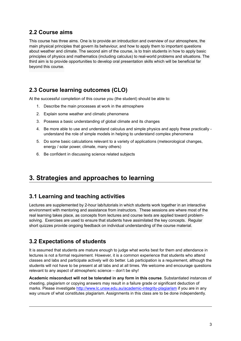### **2.2 Course aims**

This course has three aims. One is to provide an introduction and overview of our atmosphere, the main physical principles that govern its behaviour, and how to apply them to important questions about weather and climate. The second aim of the course, is to train students in how to apply basic principles of physics and mathematics (including calculus) to real-world problems and situations. The third aim is to provide opportunities to develop oral presentation skills which will be beneficial far beyond this course.

### **2.3 Course learning outcomes (CLO)**

At the successful completion of this course you (the student) should be able to:

- 1. Describe the main processes at work in the atmosphere
- 2. Explain some weather and climatic phenomena
- 3. Possess a basic understanding of global climate and its changes
- 4. Be more able to use and understand calculus and simple physics and apply these practically understand the role of simple models in helping to understand complex phenomena
- 5. Do some basic calculations relevant to a variety of applications (meteorological changes, energy / solar power, climate, many others)
- 6. Be confident in discussing science related subjects

## **3. Strategies and approaches to learning**

### **3.1 Learning and teaching activities**

Lectures are supplemented by 2-hour lab/tutorials in which students work together in an interactive environment with mentoring and assistance from instructors. These sessions are where most of the real learning takes place, as concepts from lectures and course texts are applied toward problemsolving. Exercises are used to ensure that students have assimilated the key concepts. Regular short quizzes provide ongoing feedback on individual understanding of the course material.

### **3.2 Expectations of students**

It is assumed that students are mature enough to judge what works best for them and attendance in lectures is not a formal requirement. However, it is a common experience that students who attend classes and labs and participate actively will do better. Lab participation is a requirement, although the students will not have to be present at all labs and at all times. We welcome and encourage questions relevant to any aspect of atmospheric science – don't be shy!

**Academic misconduct will not be tolerated in any form in this course**. Substantiated instances of cheating, plagiarism or copying answers may result in a failure grade or significant deduction of marks. Please investigate <http://www.lc.unsw.edu.au/academic-integrity-plagiarism>if you are in any way unsure of what constitutes plagiarism. Assignments in this class are to be done independently.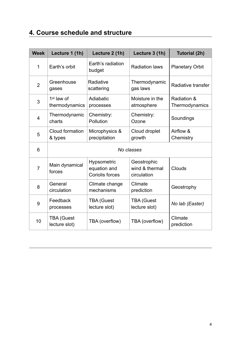# **4. Course schedule and structure**

| <b>Week</b>    | Lecture 1 (1h)                           | Lecture 2 (1h)                                        | Lecture 3 (1h)                               | <b>Tutorial (2h)</b>          |
|----------------|------------------------------------------|-------------------------------------------------------|----------------------------------------------|-------------------------------|
| 1              | Earth's orbit                            | Earth's radiation<br>budget                           | <b>Radiation laws</b>                        | <b>Planetary Orbit</b>        |
| $\overline{2}$ | Greenhouse<br>gases                      | Radiative<br>scattering                               | Thermodynamic<br>gas laws                    | Radiative transfer            |
| 3              | 1 <sup>st</sup> law of<br>thermodynamics | Adiabatic<br>processes                                | Moisture in the<br>atmosphere                | Radiation &<br>Thermodynamics |
| $\overline{4}$ | Thermodynamic<br>charts                  | Chemistry:<br>Pollution                               | Chemistry:<br>Ozone                          | Soundings                     |
| 5              | Cloud formation<br>& types               | Microphysics &<br>precipitation                       | Cloud droplet<br>growth                      | Airflow &<br>Chemistry        |
| 6              |                                          |                                                       | No classes                                   |                               |
| 7              | Main dynamical<br>forces                 | Hypsometric<br>equation and<br><b>Coriolis forces</b> | Geostrophic<br>wind & thermal<br>circulation | Clouds                        |
| 8              | General<br>circulation                   | Climate change<br>mechanisms                          | Climate<br>prediction                        | Geostrophy                    |
| 9              | Feedback<br>processes                    | <b>TBA (Guest</b><br>lecture slot)                    | <b>TBA (Guest</b><br>lecture slot)           | No lab (Easter)               |
| 10             | <b>TBA (Guest</b><br>lecture slot)       | TBA (overflow)                                        | TBA (overflow)                               | Climate<br>prediction         |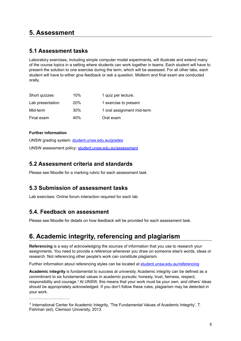# **5. Assessment**

### **5.1 Assessment tasks**

Laboratory exercises, including simple computer model experiments, will illustrate and extend many of the course topics in a setting where students can work together in teams. Each student will have to present the solution to one exercise during the term, which will be assessed. For all other labs, each student will have to either give feedback or ask a question. Midterm and final exam are conducted orally.

| Short quizzes    | 10%             | 1 quiz per lecture.        |
|------------------|-----------------|----------------------------|
| Lab presentation | <b>20%</b>      | 1 exercise to present      |
| Mid-term         | 30%             | 1 oral assignment mid-term |
| Final exam       | 40 <sup>%</sup> | Oral exam                  |

#### **Further information**

UNSW grading system: [student.unsw.edu.au/grades](https://student.unsw.edu.au/grades) UNSW assessment policy: [student.unsw.edu.au/assessment](https://student.unsw.edu.au/assessment)

### **5.2 Assessment criteria and standards**

Please see Moodle for a marking rubric for each assessment task

### **5.3 Submission of assessment tasks**

Lab exercises: Online forum interaction required for each lab.

### **5.4. Feedback on assessment**

Please see Moodle for details on how feedback will be provided for each assessment task.

# **6. Academic integrity, referencing and plagiarism**

**Referencing** is a way of acknowledging the sources of information that you use to research your assignments. You need to provide a reference whenever you draw on someone else's words, ideas or research. Not referencing other people's work can constitute plagiarism.

Further information about referencing styles can be located at [student.unsw.edu.au/referencing](https://student.unsw.edu.au/referencing)

<span id="page-4-1"></span>**Academic integrity** is fundamental to success at university. Academic integrity can be defined as a commitment to six fundamental values in academic pursuits**:** honesty, trust, fairness, respect, responsibilityand courage.<sup>1</sup> At UNSW, this means that your work must be your own, and others' ideas should be appropriately acknowledged. If you don't follow these rules, plagiarism may be detected in your work.

<span id="page-4-0"></span>International Center for Academic Integrity, 'The Fundamental Values of Academic Integrity', T. *[1](#page-4-1)* Fishman (ed), Clemson University, 2013.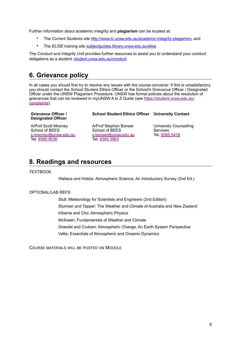Further information about academic integrity and **plagiarism** can be located at:

- The *Current Students* site <http://www.lc.unsw.edu.au/academic-integrity-plagiarism>*,* and
- The *ELISE* training site **subjectguides.library.unsw.edu.au/elise**

The *Conduct and Integrity Unit* provides further resources to assist you to understand your conduct obligations as a student: [student.unsw.edu.au/conduct](https://student.unsw.edu.au/conduct).

## **6. Grievance policy**

In all cases you should first try to resolve any issues with the course convenor. If this is unsatisfactory, you should contact the School Student Ethics Officer or the School's Grievance Officer / Designated Officer under the UNSW Plagiarism Procedure. UNSW has formal policies about the resolution of grievances that can be reviewed in myUNSW A to Z Guide (see [https://student.unsw.edu.au/](https://student.unsw.edu.au/complaints) [complaints\)](https://student.unsw.edu.au/complaints).

| <b>Grievance Officer /</b><br><b>Designated Officer</b> | <b>School Student Ethics Officer University Contact</b> |                        |  |
|---------------------------------------------------------|---------------------------------------------------------|------------------------|--|
| A/Prof Scott Mooney                                     | A/Prof Stephen Bonser                                   | University Counselling |  |
| School of REES                                          | School of REES                                          | Senvires               |  |

School of BEES [s.mooney@unsw.edu.au](mailto:j.sammut@unsw.edu.au) Tel: [9385 8036](tel://9385%208036)

School of BEES [s.bonser@unsw.edu.au](mailto:s.bonser@unsw.edu.au) Tel: [9385 3863](tel://9385%203863)

Services Tel: [9385 5418](tel://9385%205418)

# **8. Readings and resources**

**TEXTROOK** 

Wallace and Hobbs: Atmospheric Science, An Introductory Survey (2nd Ed.)

#### OPTIONAL/LAB REFS

Stull: Meteorology for Scientists and Engineers (2nd Edition) Sturman and Tapper: The Weather and Climate of Australia and New Zealand Iribarne and Cho: Atmospheric Physics McIlveen: Fundamentals of Weather and Climate Graedel and Crutzen: Atmospheric Change, An Earth System Perspective Vallis: Essentials of Atmospheric and Oceanic Dynamics

COURSE MATERIALS WILL BE POSTED ON MOODLE